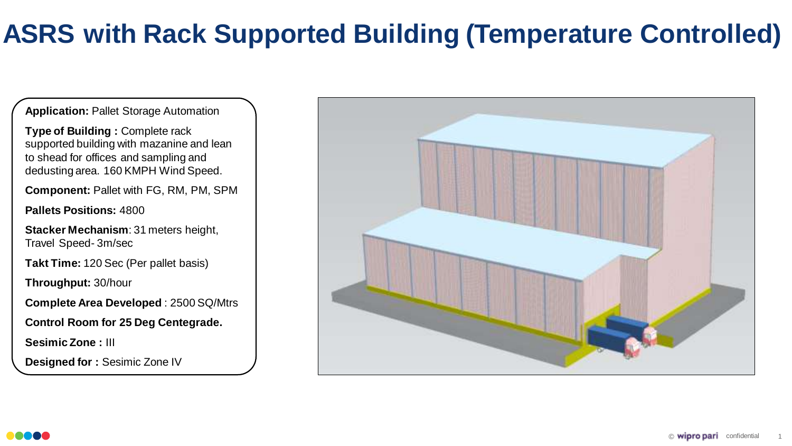**Application: Pallet Storage Automation** 

**Type of Building :** Complete rack supported building with mazanine and lean to shead for offices and sampling and dedusting area. 160 KMPH Wind Speed.

**Component:** Pallet with FG, RM, PM, SPM

**Pallets Positions:** 4800

**Stacker Mechanism**: 31 meters height, Travel Speed- 3m/sec

**Takt Time:** 120 Sec (Per pallet basis)

**Throughput:** 30/hour

**Complete Area Developed** : 2500 SQ/Mtrs

**Control Room for 25 Deg Centegrade.**

**Sesimic Zone :** III

**Designed for :** Sesimic Zone IV

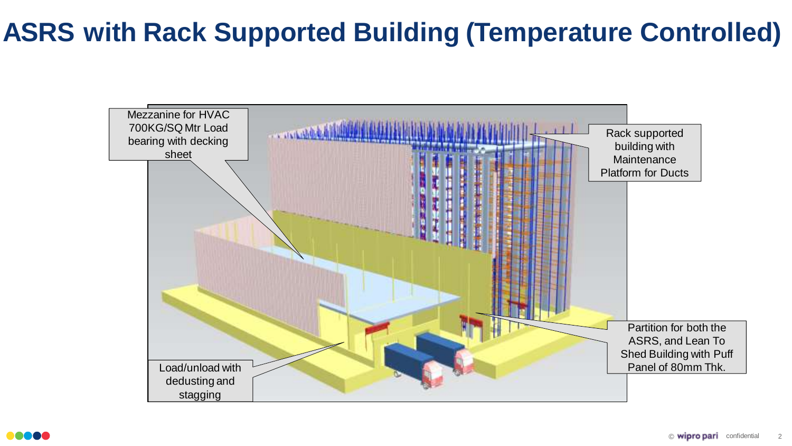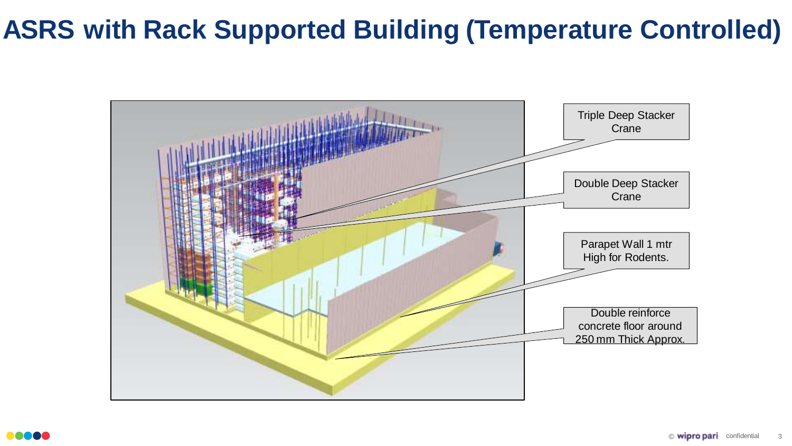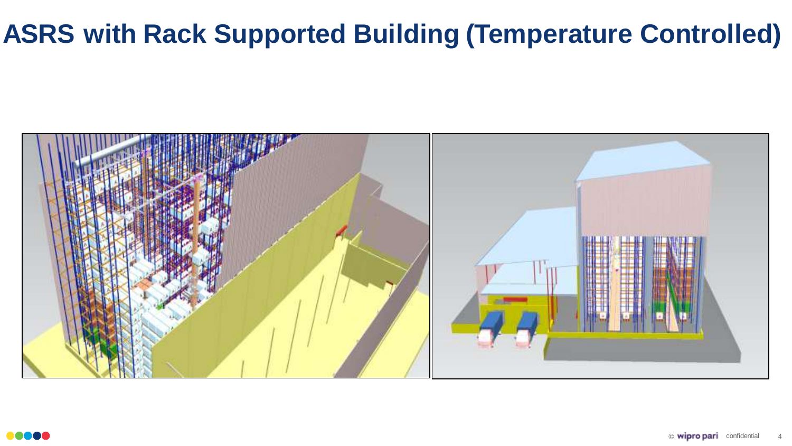

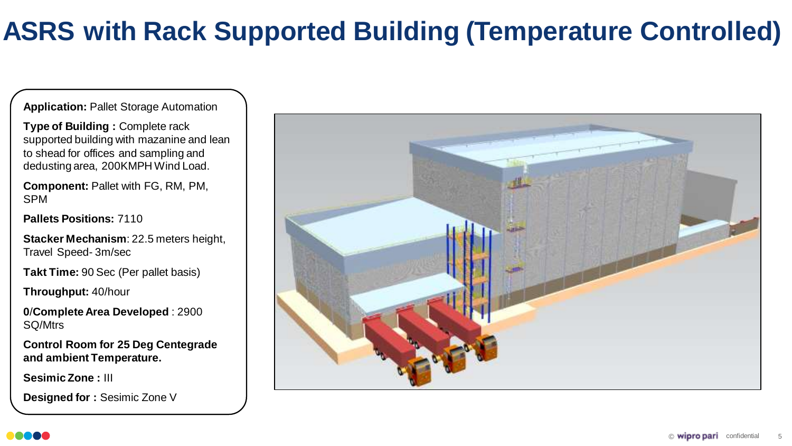**Application: Pallet Storage Automation** 

**Type of Building :** Complete rack supported building with mazanine and lean to shead for offices and sampling and dedusting area, 200KMPH Wind Load.

**Component:** Pallet with FG, RM, PM, SPM

**Pallets Positions:** 7110

**Stacker Mechanism**: 22.5 meters height, Travel Speed- 3m/sec

**Takt Time:** 90 Sec (Per pallet basis)

**Throughput:** 40/hour

**0**/**Complete Area Developed** : 2900 SQ/Mtrs

**Control Room for 25 Deg Centegrade and ambient Temperature.**

**Sesimic Zone :** III

**Designed for :** Sesimic Zone V

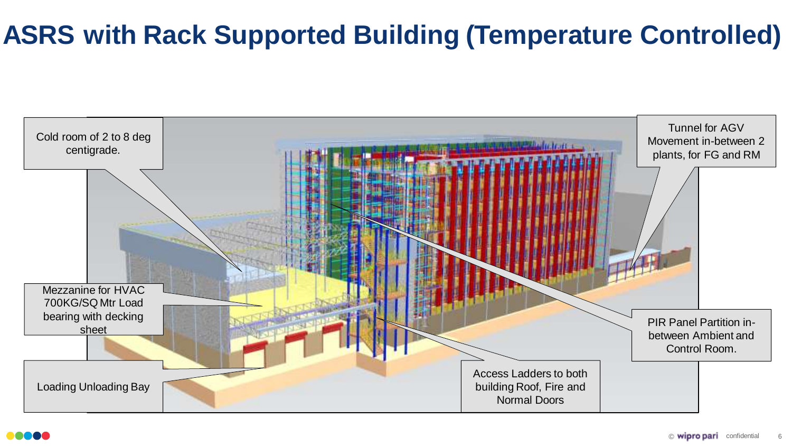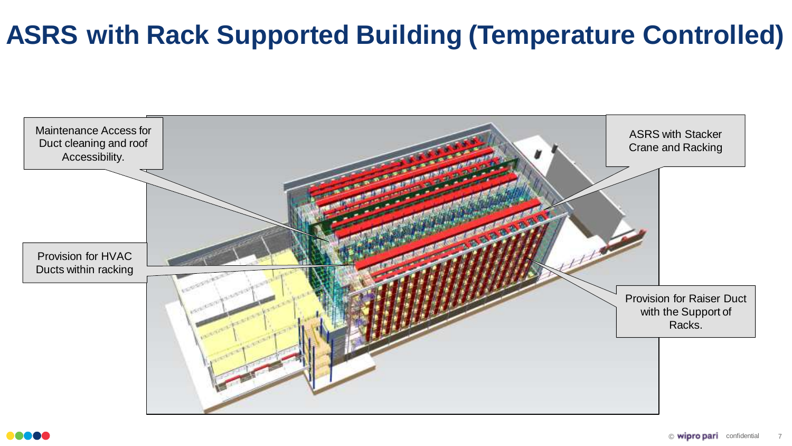